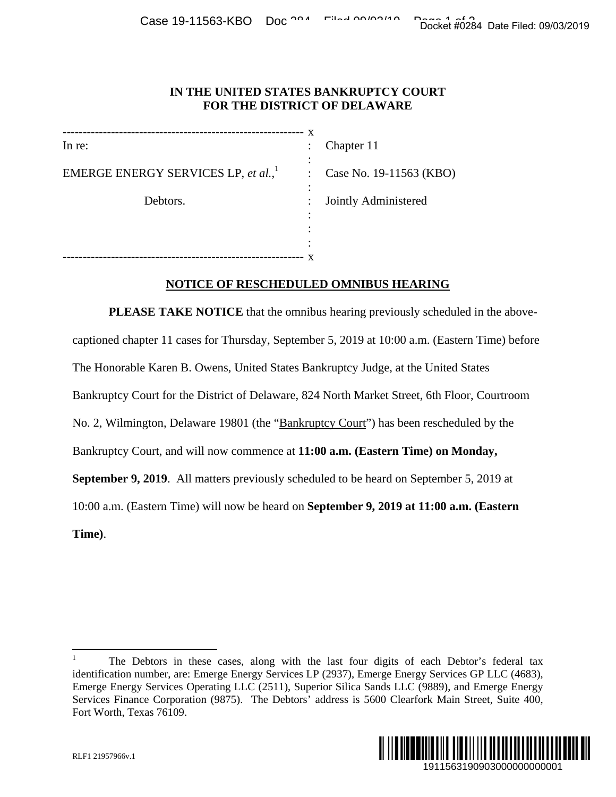## **IN THE UNITED STATES BANKRUPTCY COURT FOR THE DISTRICT OF DELAWARE**

------------------------------------------------------------ In re: EMERGE ENERGY SERVICES LP, *et al.*,<sup>1</sup> : Case No. 19-11563 (KBO) Debtors. x : : : : Jointly Administered : : : Chapter 11

------------------------------------------------------------ x

## **NOTICE OF RESCHEDULED OMNIBUS HEARING**

**PLEASE TAKE NOTICE** that the omnibus hearing previously scheduled in the abovecaptioned chapter 11 cases for Thursday, September 5, 2019 at 10:00 a.m. (Eastern Time) before The Honorable Karen B. Owens, United States Bankruptcy Judge, at the United States Bankruptcy Court for the District of Delaware, 824 North Market Street, 6th Floor, Courtroom No. 2, Wilmington, Delaware 19801 (the "Bankruptcy Court") has been rescheduled by the Bankruptcy Court, and will now commence at **11:00 a.m. (Eastern Time) on Monday, September 9, 2019**. All matters previously scheduled to be heard on September 5, 2019 at 10:00 a.m. (Eastern Time) will now be heard on **September 9, 2019 at 11:00 a.m. (Eastern Time)**. Docket #0284 Date Filed: 09/03/2019<br>
URT<br>
URT<br>
(KBO)<br>
d<br>
d<br>
<br>
CERES<br>
Scheduled in the above-<br>
n. (Eastern Time) before<br>
United States<br>
(oth Floor, Courtroom<br>
rescheduled by the<br> **ee)** on Monday,<br>
pptember 5, 2019 at<br>
<br> **1** 

 $\overline{a}$ 1 The Debtors in these cases, along with the last four digits of each Debtor's federal tax identification number, are: Emerge Energy Services LP (2937), Emerge Energy Services GP LLC (4683), Emerge Energy Services Operating LLC (2511), Superior Silica Sands LLC (9889), and Emerge Energy Services Finance Corporation (9875). The Debtors' address is 5600 Clearfork Main Street, Suite 400, Fort Worth, Texas 76109.